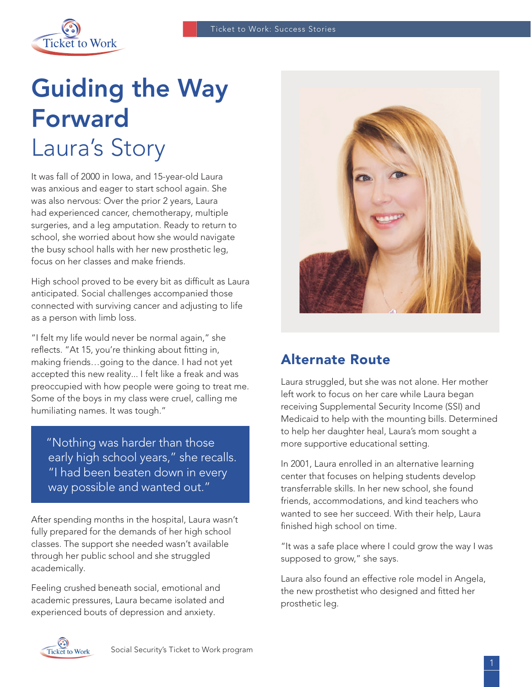

# Guiding the Way Forward Laura's Story

It was fall of 2000 in Iowa, and 15-year-old Laura was anxious and eager to start school again. She was also nervous: Over the prior 2 years, Laura had experienced cancer, chemotherapy, multiple surgeries, and a leg amputation. Ready to return to school, she worried about how she would navigate the busy school halls with her new prosthetic leg, focus on her classes and make friends.

High school proved to be every bit as difficult as Laura anticipated. Social challenges accompanied those connected with surviving cancer and adjusting to life as a person with limb loss.

"I felt my life would never be normal again," she reflects. "At 15, you're thinking about fitting in, making friends…going to the dance. I had not yet accepted this new reality... I felt like a freak and was preoccupied with how people were going to treat me. Some of the boys in my class were cruel, calling me humiliating names. It was tough."

 "Nothing was harder than those early high school years," she recalls. "I had been beaten down in every way possible and wanted out."

After spending months in the hospital, Laura wasn't fully prepared for the demands of her high school classes. The support she needed wasn't available through her public school and she struggled academically.

Feeling crushed beneath social, emotional and academic pressures, Laura became isolated and experienced bouts of depression and anxiety.



#### Alternate Route

Laura struggled, but she was not alone. Her mother left work to focus on her care while Laura began receiving Supplemental Security Income (SSI) and Medicaid to help with the mounting bills. Determined to help her daughter heal, Laura's mom sought a more supportive educational setting.

In 2001, Laura enrolled in an alternative learning center that focuses on helping students develop transferrable skills. In her new school, she found friends, accommodations, and kind teachers who wanted to see her succeed. With their help, Laura finished high school on time.

"It was a safe place where I could grow the way I was supposed to grow," she says.

Laura also found an effective role model in Angela, the new prosthetist who designed and fitted her prosthetic leg.

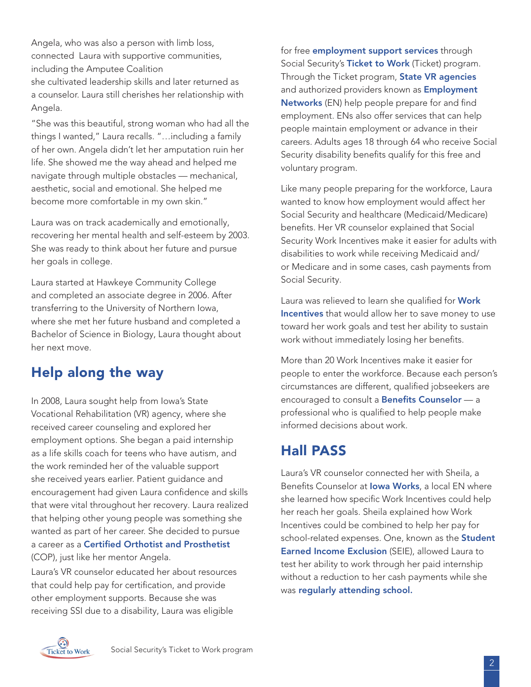Angela, who was also a person with limb loss, connected Laura with supportive communities, including the Amputee Coalition she cultivated leadership skills and later returned as

a counselor. Laura still cherishes her relationship with Angela.

"She was this beautiful, strong woman who had all the things I wanted," Laura recalls. "…including a family of her own. Angela didn't let her amputation ruin her life. She showed me the way ahead and helped me navigate through multiple obstacles — mechanical, aesthetic, social and emotional. She helped me become more comfortable in my own skin."

Laura was on track academically and emotionally, recovering her mental health and self-esteem by 2003. She was ready to think about her future and pursue her goals in college.

Laura started at Hawkeye Community College and completed an associate degree in 2006. After transferring to the University of Northern Iowa, where she met her future husband and completed a Bachelor of Science in Biology, Laura thought about her next move.

# Help along the way

In 2008, Laura sought help from Iowa's State Vocational Rehabilitation (VR) agency, where she received career counseling and explored her employment options. She began a paid internship as a life skills coach for teens who have autism, and the work reminded her of the valuable support she received years earlier. Patient guidance and encouragement had given Laura confidence and skills that were vital throughout her recovery. Laura realized that helping other young people was something she wanted as part of her career. She decided to pursue a career as a [Certified Orthotist and Prosthetist](https://www.bls.gov/ooh/healthcare/orthotists-and-prosthetists.htm) (COP), just like her mentor Angela.

Laura's VR counselor educated her about resources that could help pay for certification, and provide other employment supports. Because she was receiving SSI due to a disability, Laura was eligible

for free **[employment support services](https://choosework.ssa.gov/about/meet-your-employment-team/)** through Social Security's [Ticket to Work](https://choosework.ssa.gov/about) (Ticket) program. Through the Ticket program, [State VR agencies](https://choosework.ssa.gov/about/meet-your-employment-team/index.html#VR) and authorized providers known as **Employment** [Networks](https://choosework.ssa.gov/about/meet-your-employment-team/index.html#EN) (EN) help people prepare for and find employment. ENs also offer services that can help people maintain employment or advance in their careers. Adults ages 18 through 64 who receive Social Security disability benefits qualify for this free and voluntary program.

Like many people preparing for the workforce, Laura wanted to know how employment would affect her Social Security and healthcare (Medicaid/Medicare) benefits. Her VR counselor explained that Social Security Work Incentives make it easier for adults with disabilities to work while receiving Medicaid and/ or Medicare and in some cases, cash payments from Social Security.

Laura was relieved to learn she qualified for Work [Incentives](https://choosework.ssa.gov/about/work-incentives) that would allow her to save money to use toward her work goals and test her ability to sustain work without immediately losing her benefits.

More than 20 Work Incentives make it easier for people to enter the workforce. Because each person's circumstances are different, qualified jobseekers are encouraged to consult a [Benefits Counselor](https://choosework.ssa.gov/findhelp/) - a professional who is qualified to help people make informed decisions about work.

# Hall PASS

Laura's VR counselor connected her with Sheila, a Benefits Counselor at lowa Works, a local EN where she learned how specific Work Incentives could help her reach her goals. Sheila explained how Work Incentives could be combined to help her pay for school-related expenses. One, known as the **Student** [Earned Income Exclusion](https://www.ssa.gov/redbook/eng/ssi-only-employment-supports.htm) (SEIE), allowed Laura to test her ability to work through her paid internship without a reduction to her cash payments while she was [regularly attending school.](https://choosework.ssa.gov/blog/2017-05-24-wiw-making-the-grade-at-school-and-work)

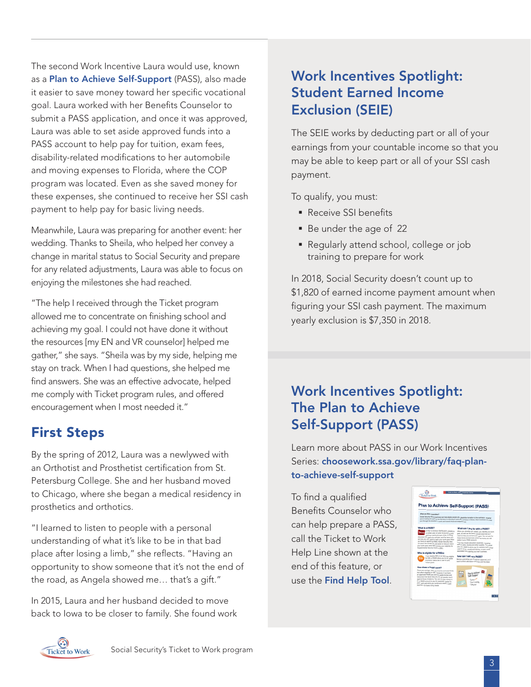The second Work Incentive Laura would use, known as a [Plan to Achieve Self-Support](https://choosework.ssa.gov/library/faq-plan-to-achieve-self-support) (PASS), also made it easier to save money toward her specific vocational goal. Laura worked with her Benefits Counselor to submit a PASS application, and once it was approved, Laura was able to set aside approved funds into a PASS account to help pay for tuition, exam fees, disability-related modifications to her automobile and moving expenses to Florida, where the COP program was located. Even as she saved money for these expenses, she continued to receive her SSI cash payment to help pay for basic living needs.

Meanwhile, Laura was preparing for another event: her wedding. Thanks to Sheila, who helped her convey a change in marital status to Social Security and prepare for any related adjustments, Laura was able to focus on enjoying the milestones she had reached.

"The help I received through the Ticket program allowed me to concentrate on finishing school and achieving my goal. I could not have done it without the resources [my EN and VR counselor] helped me gather," she says. "Sheila was by my side, helping me stay on track. When I had questions, she helped me find answers. She was an effective advocate, helped me comply with Ticket program rules, and offered encouragement when I most needed it."

#### First Steps

By the spring of 2012, Laura was a newlywed with an Orthotist and Prosthetist certification from St. Petersburg College. She and her husband moved to Chicago, where she began a medical residency in prosthetics and orthotics.

"I learned to listen to people with a personal understanding of what it's like to be in that bad place after losing a limb," she reflects. "Having an opportunity to show someone that it's not the end of the road, as Angela showed me… that's a gift."

In 2015, Laura and her husband decided to move back to Iowa to be closer to family. She found work

## Work Incentives Spotlight: Student Earned Income Exclusion (SEIE)

The SEIE works by deducting part or all of your earnings from your countable income so that you may be able to keep part or all of your SSI cash payment.

To qualify, you must:

- **Receive SSI benefits**
- Be under the age of 22
- Regularly attend school, college or job training to prepare for work

In 2018, Social Security doesn't count up to \$1,820 of earned income payment amount when figuring your SSI cash payment. The maximum yearly exclusion is \$7,350 in 2018.

### Work Incentives Spotlight: The Plan to Achieve Self-Support (PASS)

Learn more about PASS in our Work Incentives Series: [choosework.ssa.gov/library/faq-plan](https://choosework.ssa.gov/library/faq-plan-to-achieve-self-support)[to-achieve-self-support](https://choosework.ssa.gov/library/faq-plan-to-achieve-self-support)

To find a qualified Benefits Counselor who can help prepare a PASS, call the Ticket to Work Help Line shown at the end of this feature, or use the [Find Help Tool](https://choosework.ssa.gov/findhelp/).